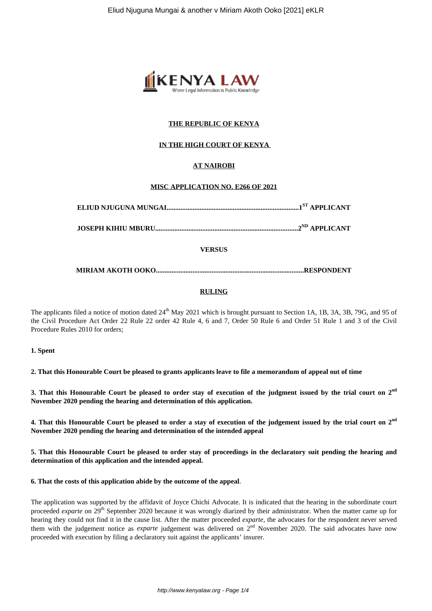

# **THE REPUBLIC OF KENYA**

# **IN THE HIGH COURT OF KENYA**

# **AT NAIROBI**

## **MISC APPLICATION NO. E266 OF 2021**

**JOSEPH KIHIU MBURU..................................................................................2ND APPLICANT**

# **VERSUS**

**MIRIAM AKOTH OOKO.....................................................................................RESPONDENT**

# **RULING**

The applicants filed a notice of motion dated 24<sup>th</sup> May 2021 which is brought pursuant to Section 1A, 1B, 3A, 3B, 79G, and 95 of the Civil Procedure Act Order 22 Rule 22 order 42 Rule 4, 6 and 7, Order 50 Rule 6 and Order 51 Rule 1 and 3 of the Civil Procedure Rules 2010 for orders;

### **1. Spent**

**2. That this Honourable Court be pleased to grants applicants leave to file a memorandum of appeal out of time**

**3. That this Honourable Court be pleased to order stay of execution of the judgment issued by the trial court on 2nd November 2020 pending the hearing and determination of this application.**

**4. That this Honourable Court be pleased to order a stay of execution of the judgement issued by the trial court on 2nd November 2020 pending the hearing and determination of the intended appeal**

**5. That this Honourable Court be pleased to order stay of proceedings in the declaratory suit pending the hearing and determination of this application and the intended appeal.**

**6. That the costs of this application abide by the outcome of the appeal**.

The application was supported by the affidavit of Joyce Chichi Advocate. It is indicated that the hearing in the subordinate court proceeded *exparte* on 29<sup>th</sup> September 2020 because it was wrongly diarized by their administrator. When the matter came up for hearing they could not find it in the cause list. After the matter proceeded *exparte*, the advocates for the respondent never served them with the judgement notice as *exparte* judgement was delivered on 2<sup>nd</sup> November 2020. The said advocates have now proceeded with execution by filing a declaratory suit against the applicants' insurer.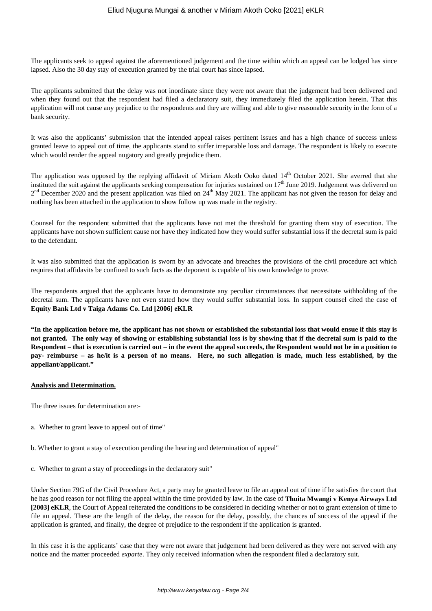The applicants seek to appeal against the aforementioned judgement and the time within which an appeal can be lodged has since lapsed. Also the 30 day stay of execution granted by the trial court has since lapsed.

The applicants submitted that the delay was not inordinate since they were not aware that the judgement had been delivered and when they found out that the respondent had filed a declaratory suit, they immediately filed the application herein. That this application will not cause any prejudice to the respondents and they are willing and able to give reasonable security in the form of a bank security.

It was also the applicants' submission that the intended appeal raises pertinent issues and has a high chance of success unless granted leave to appeal out of time, the applicants stand to suffer irreparable loss and damage. The respondent is likely to execute which would render the appeal nugatory and greatly prejudice them.

The application was opposed by the replying affidavit of Miriam Akoth Ooko dated 14<sup>th</sup> October 2021. She averred that she instituted the suit against the applicants seeking compensation for injuries sustained on  $17<sup>th</sup>$  June 2019. Judgement was delivered on  $2<sup>nd</sup>$  December 2020 and the present application was filed on  $24<sup>th</sup>$  May 2021. The applicant has not given the reason for delay and nothing has been attached in the application to show follow up was made in the registry.

Counsel for the respondent submitted that the applicants have not met the threshold for granting them stay of execution. The applicants have not shown sufficient cause nor have they indicated how they would suffer substantial loss if the decretal sum is paid to the defendant.

It was also submitted that the application is sworn by an advocate and breaches the provisions of the civil procedure act which requires that affidavits be confined to such facts as the deponent is capable of his own knowledge to prove.

The respondents argued that the applicants have to demonstrate any peculiar circumstances that necessitate withholding of the decretal sum. The applicants have not even stated how they would suffer substantial loss. In support counsel cited the case of **Equity Bank Ltd v Taiga Adams Co. Ltd [2006] eKLR**

**"In the application before me, the applicant has not shown or established the substantial loss that would ensue if this stay is not granted. The only way of showing or establishing substantial loss is by showing that if the decretal sum is paid to the Respondent – that is execution is carried out – in the event the appeal succeeds, the Respondent would not be in a position to pay- reimburse – as he/it is a person of no means. Here, no such allegation is made, much less established, by the appellant/applicant."**

# **Analysis and Determination.**

The three issues for determination are:-

- a. Whether to grant leave to appeal out of time"
- b. Whether to grant a stay of execution pending the hearing and determination of appeal"
- c. Whether to grant a stay of proceedings in the declaratory suit"

Under Section 79G of the Civil Procedure Act, a party may be granted leave to file an appeal out of time if he satisfies the court that he has good reason for not filing the appeal within the time provided by law. In the case of **Thuita Mwangi v Kenya Airways Ltd [2003] eKLR**, the Court of Appeal reiterated the conditions to be considered in deciding whether or not to grant extension of time to file an appeal. These are the length of the delay, the reason for the delay, possibly, the chances of success of the appeal if the application is granted, and finally, the degree of prejudice to the respondent if the application is granted.

In this case it is the applicants' case that they were not aware that judgement had been delivered as they were not served with any notice and the matter proceeded *exparte*. They only received information when the respondent filed a declaratory suit.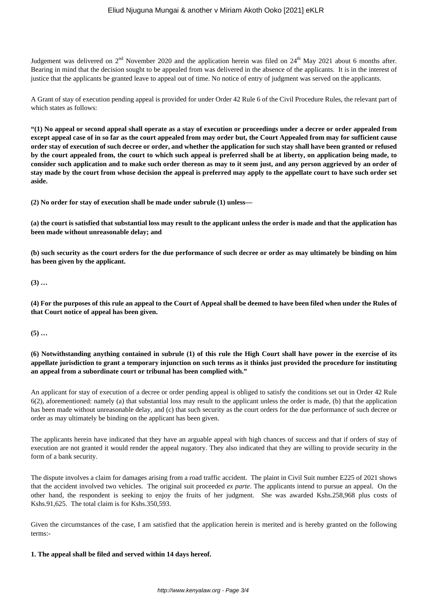Judgement was delivered on  $2^{nd}$  November 2020 and the application herein was filed on  $24^{th}$  May 2021 about 6 months after. Bearing in mind that the decision sought to be appealed from was delivered in the absence of the applicants. It is in the interest of justice that the applicants be granted leave to appeal out of time. No notice of entry of judgment was served on the applicants.

A Grant of stay of execution pending appeal is provided for under Order 42 Rule 6 of the Civil Procedure Rules, the relevant part of which states as follows:

**"(1) No appeal or second appeal shall operate as a stay of execution or proceedings under a decree or order appealed from except appeal case of in so far as the court appealed from may order but, the Court Appealed from may for sufficient cause order stay of execution of such decree or order, and whether the application for such stay shall have been granted or refused by the court appealed from, the court to which such appeal is preferred shall be at liberty, on application being made, to consider such application and to make such order thereon as may to it seem just, and any person aggrieved by an order of stay made by the court from whose decision the appeal is preferred may apply to the appellate court to have such order set aside.**

**(2) No order for stay of execution shall be made under subrule (1) unless—**

**(a) the court is satisfied that substantial loss may result to the applicant unless the order is made and that the application has been made without unreasonable delay; and**

**(b) such security as the court orders for the due performance of such decree or order as may ultimately be binding on him has been given by the applicant.**

**(3) …**

**(4) For the purposes of this rule an appeal to the Court of Appeal shall be deemed to have been filed when under the Rules of that Court notice of appeal has been given.**

**(5) …**

# **(6) Notwithstanding anything contained in subrule (1) of this rule the High Court shall have power in the exercise of its appellate jurisdiction to grant a temporary injunction on such terms as it thinks just provided the procedure for instituting an appeal from a subordinate court or tribunal has been complied with."**

An applicant for stay of execution of a decree or order pending appeal is obliged to satisfy the conditions set out in Order 42 Rule 6(2), aforementioned: namely (a) that substantial loss may result to the applicant unless the order is made, (b) that the application has been made without unreasonable delay, and (c) that such security as the court orders for the due performance of such decree or order as may ultimately be binding on the applicant has been given.

The applicants herein have indicated that they have an arguable appeal with high chances of success and that if orders of stay of execution are not granted it would render the appeal nugatory. They also indicated that they are willing to provide security in the form of a bank security.

The dispute involves a claim for damages arising from a road traffic accident. The plaint in Civil Suit number E225 of 2021 shows that the accident involved two vehicles. The original suit proceeded *ex parte*. The applicants intend to pursue an appeal. On the other hand, the respondent is seeking to enjoy the fruits of her judgment. She was awarded Kshs.258,968 plus costs of Kshs.91,625. The total claim is for Kshs.350,593.

Given the circumstances of the case, I am satisfied that the application herein is merited and is hereby granted on the following terms:-

# **1. The appeal shall be filed and served within 14 days hereof.**